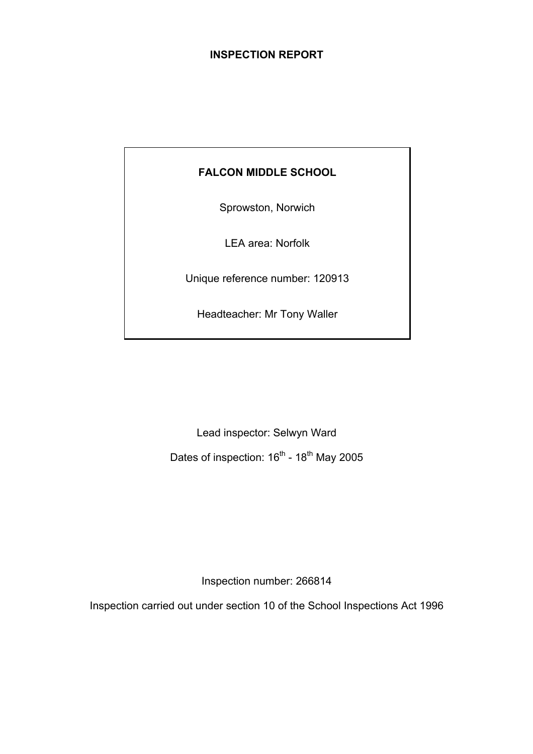## **INSPECTION REPORT**

# **FALCON MIDDLE SCHOOL**

Sprowston, Norwich

LEA area: Norfolk

Unique reference number: 120913

Headteacher: Mr Tony Waller

Lead inspector: Selwyn Ward

Dates of inspection: 16<sup>th</sup> - 18<sup>th</sup> May 2005

Inspection number: 266814

Inspection carried out under section 10 of the School Inspections Act 1996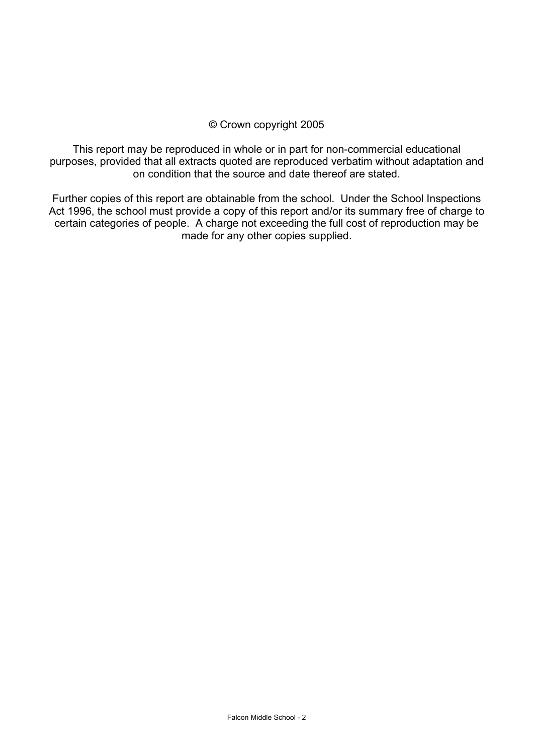## © Crown copyright 2005

This report may be reproduced in whole or in part for non-commercial educational purposes, provided that all extracts quoted are reproduced verbatim without adaptation and on condition that the source and date thereof are stated.

Further copies of this report are obtainable from the school. Under the School Inspections Act 1996, the school must provide a copy of this report and/or its summary free of charge to certain categories of people. A charge not exceeding the full cost of reproduction may be made for any other copies supplied.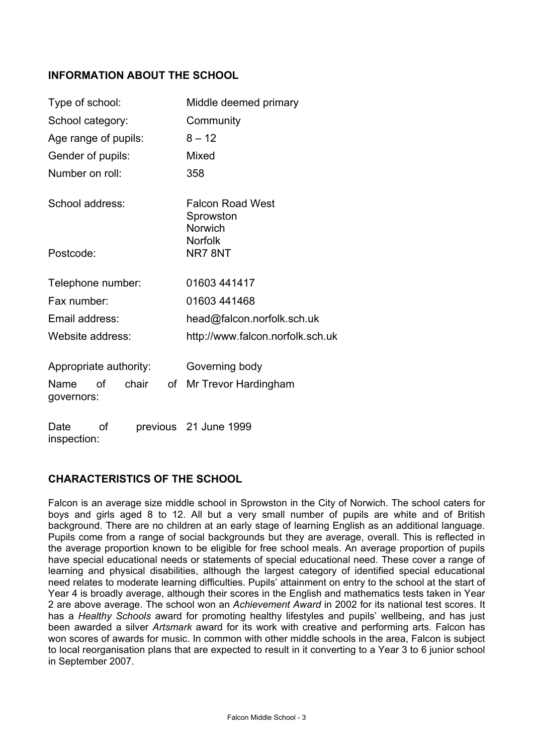## **INFORMATION ABOUT THE SCHOOL**

| Type of school:        |    |       |    | Middle deemed primary                           |  |  |
|------------------------|----|-------|----|-------------------------------------------------|--|--|
| School category:       |    |       |    | Community                                       |  |  |
| Age range of pupils:   |    |       |    | $8 - 12$                                        |  |  |
| Gender of pupils:      |    |       |    | Mixed                                           |  |  |
| Number on roll:        |    |       |    | 358                                             |  |  |
| School address:        |    |       |    | <b>Falcon Road West</b><br>Sprowston<br>Norwich |  |  |
| Postcode:              |    |       |    | Norfolk<br>NR78NT                               |  |  |
| Telephone number:      |    |       |    | 01603 441417                                    |  |  |
| Fax number:            |    |       |    | 01603 441468                                    |  |  |
| Email address:         |    |       |    | head@falcon.norfolk.sch.uk                      |  |  |
| Website address:       |    |       |    | http://www.falcon.norfolk.sch.uk                |  |  |
| Appropriate authority: |    |       |    | Governing body                                  |  |  |
| Name<br>governors:     | of | chair | of | Mr Trevor Hardingham                            |  |  |
| Date                   | οf |       |    | previous 21 June 1999                           |  |  |

## **CHARACTERISTICS OF THE SCHOOL**

inspection:

Falcon is an average size middle school in Sprowston in the City of Norwich. The school caters for boys and girls aged 8 to 12. All but a very small number of pupils are white and of British background. There are no children at an early stage of learning English as an additional language. Pupils come from a range of social backgrounds but they are average, overall. This is reflected in the average proportion known to be eligible for free school meals. An average proportion of pupils have special educational needs or statements of special educational need. These cover a range of learning and physical disabilities, although the largest category of identified special educational need relates to moderate learning difficulties. Pupils' attainment on entry to the school at the start of Year 4 is broadly average, although their scores in the English and mathematics tests taken in Year 2 are above average. The school won an *Achievement Award* in 2002 for its national test scores. It has a *Healthy Schools* award for promoting healthy lifestyles and pupils' wellbeing, and has just been awarded a silver *Artsmark* award for its work with creative and performing arts. Falcon has won scores of awards for music. In common with other middle schools in the area, Falcon is subject to local reorganisation plans that are expected to result in it converting to a Year 3 to 6 junior school in September 2007.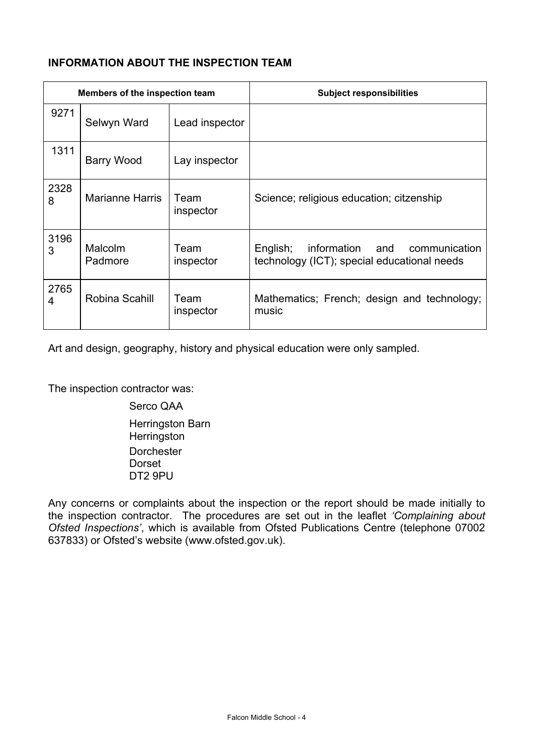# **INFORMATION ABOUT THE INSPECTION TEAM**

| Members of the inspection team |                        |                   | <b>Subject responsibilities</b>                                                                |
|--------------------------------|------------------------|-------------------|------------------------------------------------------------------------------------------------|
| 9271                           | Selwyn Ward            | Lead inspector    |                                                                                                |
| 1311                           | Barry Wood             | Lay inspector     |                                                                                                |
| 2328<br>8                      | <b>Marianne Harris</b> | Team<br>inspector | Science; religious education; citzenship                                                       |
| 3196<br>3                      | Malcolm<br>Padmore     | Team<br>inspector | English;<br>communication<br>information<br>and<br>technology (ICT), special educational needs |
| 2765<br>4                      | Robina Scahill         | Team<br>inspector | Mathematics; French; design and technology;<br>music                                           |

Art and design, geography, history and physical education were only sampled.

The inspection contractor was:

Serco QAA Herringston Barn **Herringston**  Dorchester Dorset DT2 9PU

Any concerns or complaints about the inspection or the report should be made initially to the inspection contractor. The procedures are set out in the leaflet *'Complaining about Ofsted Inspections'*, which is available from Ofsted Publications Centre (telephone 07002 637833) or Ofsted's website (www.ofsted.gov.uk).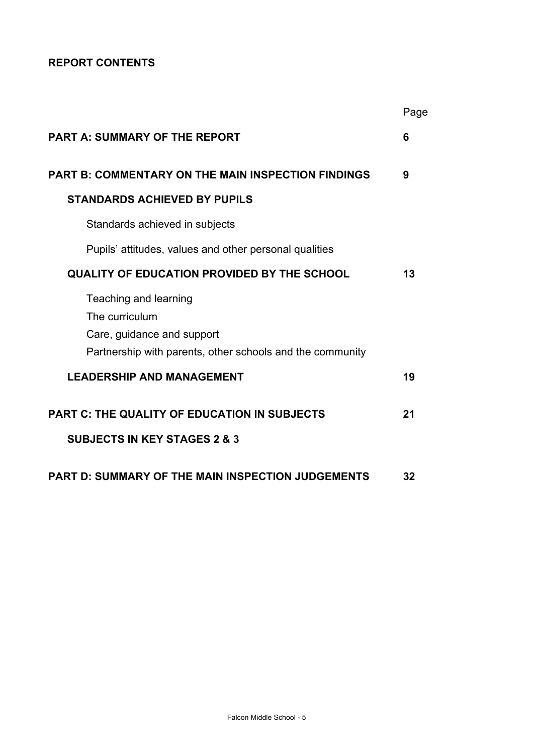# **REPORT CONTENTS**

|                                                                                                                                    | Page |
|------------------------------------------------------------------------------------------------------------------------------------|------|
| <b>PART A: SUMMARY OF THE REPORT</b>                                                                                               | 6    |
| <b>PART B: COMMENTARY ON THE MAIN INSPECTION FINDINGS</b>                                                                          | 9    |
| <b>STANDARDS ACHIEVED BY PUPILS</b>                                                                                                |      |
| Standards achieved in subjects                                                                                                     |      |
| Pupils' attitudes, values and other personal qualities                                                                             |      |
| <b>QUALITY OF EDUCATION PROVIDED BY THE SCHOOL</b>                                                                                 | 13   |
| Teaching and learning<br>The curriculum<br>Care, guidance and support<br>Partnership with parents, other schools and the community |      |
| <b>LEADERSHIP AND MANAGEMENT</b>                                                                                                   | 19   |
| <b>PART C: THE QUALITY OF EDUCATION IN SUBJECTS</b><br><b>SUBJECTS IN KEY STAGES 2 &amp; 3</b>                                     | 21   |
| <b>PART D: SUMMARY OF THE MAIN INSPECTION JUDGEMENTS</b>                                                                           | 32   |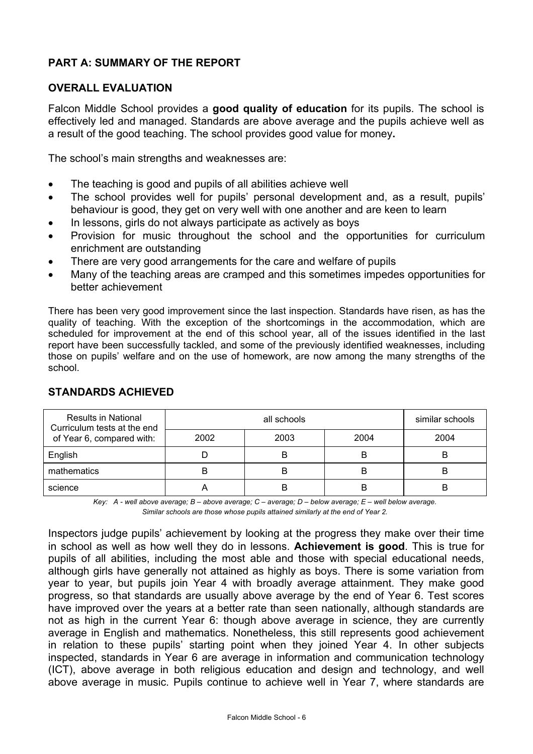# **PART A: SUMMARY OF THE REPORT**

## **OVERALL EVALUATION**

Falcon Middle School provides a **good quality of education** for its pupils. The school is effectively led and managed. Standards are above average and the pupils achieve well as a result of the good teaching. The school provides good value for money**.**

The school's main strengths and weaknesses are:

- The teaching is good and pupils of all abilities achieve well
- The school provides well for pupils' personal development and, as a result, pupils' behaviour is good, they get on very well with one another and are keen to learn
- In lessons, girls do not always participate as actively as boys
- Provision for music throughout the school and the opportunities for curriculum enrichment are outstanding
- There are very good arrangements for the care and welfare of pupils
- Many of the teaching areas are cramped and this sometimes impedes opportunities for better achievement

There has been very good improvement since the last inspection. Standards have risen, as has the quality of teaching. With the exception of the shortcomings in the accommodation, which are scheduled for improvement at the end of this school year, all of the issues identified in the last report have been successfully tackled, and some of the previously identified weaknesses, including those on pupils' welfare and on the use of homework, are now among the many strengths of the school.

| <b>Results in National</b><br>Curriculum tests at the end |      | similar schools |      |      |
|-----------------------------------------------------------|------|-----------------|------|------|
| of Year 6, compared with:                                 | 2002 | 2003            | 2004 | 2004 |
| English                                                   |      | B               | В    | B    |
| mathematics                                               |      | B               | B    | B    |
| science                                                   |      | B               | B    | B    |

## **STANDARDS ACHIEVED**

*Key: A - well above average; B – above average; C – average; D – below average; E – well below average. Similar schools are those whose pupils attained similarly at the end of Year 2.* 

Inspectors judge pupils' achievement by looking at the progress they make over their time in school as well as how well they do in lessons. **Achievement is good**. This is true for pupils of all abilities, including the most able and those with special educational needs, although girls have generally not attained as highly as boys. There is some variation from year to year, but pupils join Year 4 with broadly average attainment. They make good progress, so that standards are usually above average by the end of Year 6. Test scores have improved over the years at a better rate than seen nationally, although standards are not as high in the current Year 6: though above average in science, they are currently average in English and mathematics. Nonetheless, this still represents good achievement in relation to these pupils' starting point when they joined Year 4. In other subjects inspected, standards in Year 6 are average in information and communication technology (ICT), above average in both religious education and design and technology, and well above average in music. Pupils continue to achieve well in Year 7, where standards are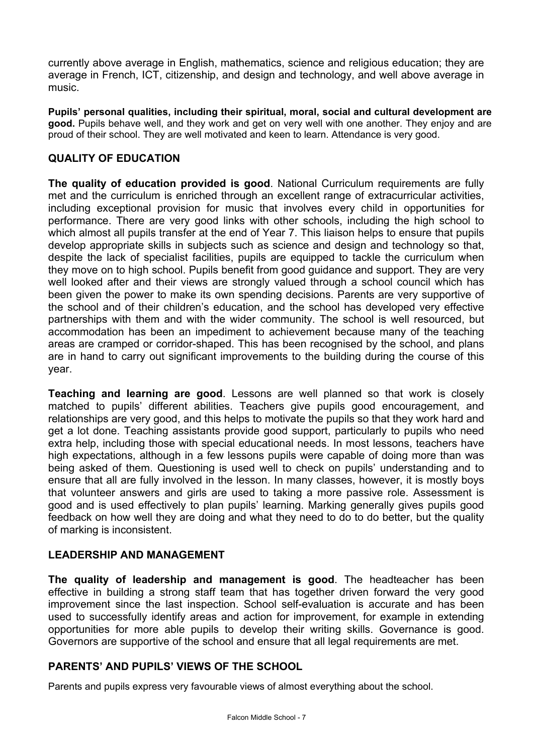currently above average in English, mathematics, science and religious education; they are average in French, ICT, citizenship, and design and technology, and well above average in music.

**Pupils' personal qualities, including their spiritual, moral, social and cultural development are good.** Pupils behave well, and they work and get on very well with one another. They enjoy and are proud of their school. They are well motivated and keen to learn. Attendance is very good.

## **QUALITY OF EDUCATION**

**The quality of education provided is good**. National Curriculum requirements are fully met and the curriculum is enriched through an excellent range of extracurricular activities, including exceptional provision for music that involves every child in opportunities for performance. There are very good links with other schools, including the high school to which almost all pupils transfer at the end of Year 7. This liaison helps to ensure that pupils develop appropriate skills in subjects such as science and design and technology so that, despite the lack of specialist facilities, pupils are equipped to tackle the curriculum when they move on to high school. Pupils benefit from good guidance and support. They are very well looked after and their views are strongly valued through a school council which has been given the power to make its own spending decisions. Parents are very supportive of the school and of their children's education, and the school has developed very effective partnerships with them and with the wider community. The school is well resourced, but accommodation has been an impediment to achievement because many of the teaching areas are cramped or corridor-shaped. This has been recognised by the school, and plans are in hand to carry out significant improvements to the building during the course of this year.

**Teaching and learning are good**. Lessons are well planned so that work is closely matched to pupils' different abilities. Teachers give pupils good encouragement, and relationships are very good, and this helps to motivate the pupils so that they work hard and get a lot done. Teaching assistants provide good support, particularly to pupils who need extra help, including those with special educational needs. In most lessons, teachers have high expectations, although in a few lessons pupils were capable of doing more than was being asked of them. Questioning is used well to check on pupils' understanding and to ensure that all are fully involved in the lesson. In many classes, however, it is mostly boys that volunteer answers and girls are used to taking a more passive role. Assessment is good and is used effectively to plan pupils' learning. Marking generally gives pupils good feedback on how well they are doing and what they need to do to do better, but the quality of marking is inconsistent.

## **LEADERSHIP AND MANAGEMENT**

**The quality of leadership and management is good**. The headteacher has been effective in building a strong staff team that has together driven forward the very good improvement since the last inspection. School self-evaluation is accurate and has been used to successfully identify areas and action for improvement, for example in extending opportunities for more able pupils to develop their writing skills. Governance is good. Governors are supportive of the school and ensure that all legal requirements are met.

## **PARENTS' AND PUPILS' VIEWS OF THE SCHOOL**

Parents and pupils express very favourable views of almost everything about the school.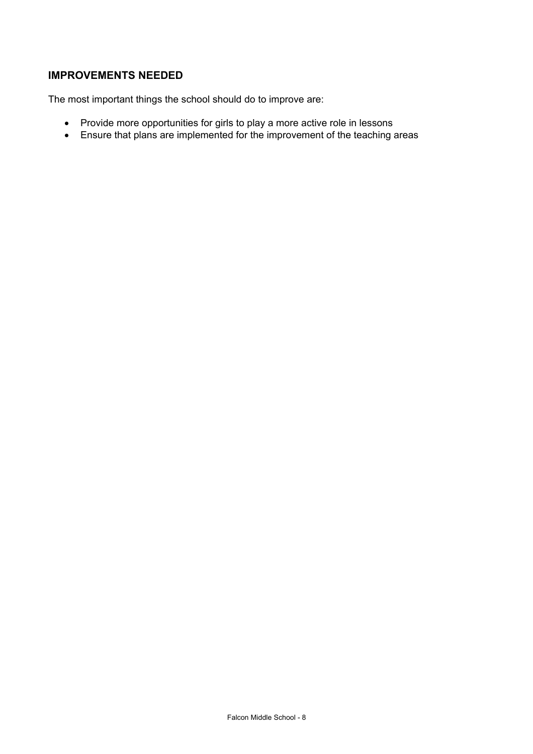# **IMPROVEMENTS NEEDED**

The most important things the school should do to improve are:

- Provide more opportunities for girls to play a more active role in lessons
- Ensure that plans are implemented for the improvement of the teaching areas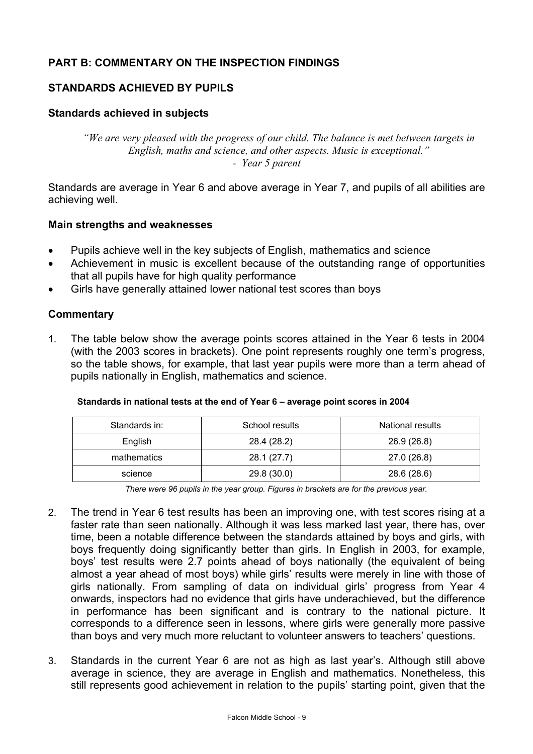# **PART B: COMMENTARY ON THE INSPECTION FINDINGS**

## **STANDARDS ACHIEVED BY PUPILS**

### **Standards achieved in subjects**

*"We are very pleased with the progress of our child. The balance is met between targets in English, maths and science, and other aspects. Music is exceptional." - Year 5 parent*

Standards are average in Year 6 and above average in Year 7, and pupils of all abilities are achieving well.

#### **Main strengths and weaknesses**

- Pupils achieve well in the key subjects of English, mathematics and science
- Achievement in music is excellent because of the outstanding range of opportunities that all pupils have for high quality performance
- Girls have generally attained lower national test scores than boys

### **Commentary**

1. The table below show the average points scores attained in the Year 6 tests in 2004 (with the 2003 scores in brackets). One point represents roughly one term's progress, so the table shows, for example, that last year pupils were more than a term ahead of pupils nationally in English, mathematics and science.

| Standards in: | School results | National results |  |
|---------------|----------------|------------------|--|
| English       | 28.4 (28.2)    | 26.9 (26.8)      |  |
| mathematics   | 28.1 (27.7)    | 27.0 (26.8)      |  |
| science       | 29.8 (30.0)    | 28.6 (28.6)      |  |

#### **Standards in national tests at the end of Year 6 – average point scores in 2004**

*There were 96 pupils in the year group. Figures in brackets are for the previous year.* 

- 2. The trend in Year 6 test results has been an improving one, with test scores rising at a faster rate than seen nationally. Although it was less marked last year, there has, over time, been a notable difference between the standards attained by boys and girls, with boys frequently doing significantly better than girls. In English in 2003, for example, boys' test results were 2.7 points ahead of boys nationally (the equivalent of being almost a year ahead of most boys) while girls' results were merely in line with those of girls nationally. From sampling of data on individual girls' progress from Year 4 onwards, inspectors had no evidence that girls have underachieved, but the difference in performance has been significant and is contrary to the national picture. It corresponds to a difference seen in lessons, where girls were generally more passive than boys and very much more reluctant to volunteer answers to teachers' questions.
- 3. Standards in the current Year 6 are not as high as last year's. Although still above average in science, they are average in English and mathematics. Nonetheless, this still represents good achievement in relation to the pupils' starting point, given that the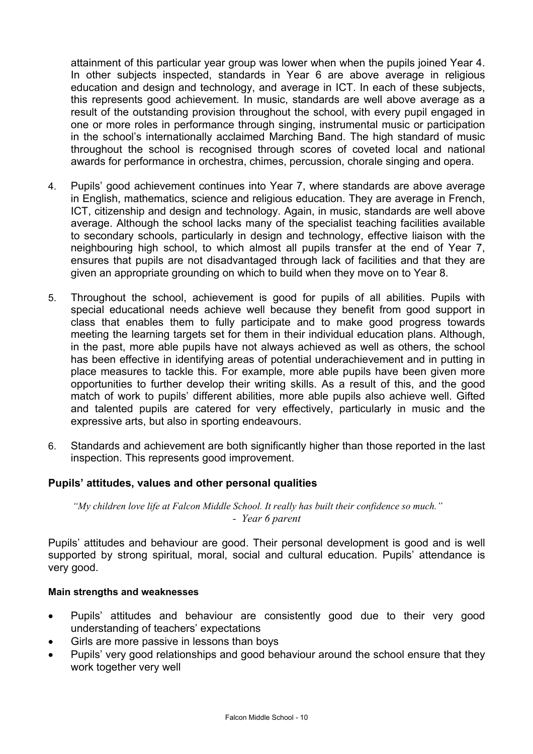attainment of this particular year group was lower when when the pupils joined Year 4. In other subjects inspected, standards in Year 6 are above average in religious education and design and technology, and average in ICT. In each of these subjects, this represents good achievement. In music, standards are well above average as a result of the outstanding provision throughout the school, with every pupil engaged in one or more roles in performance through singing, instrumental music or participation in the school's internationally acclaimed Marching Band. The high standard of music throughout the school is recognised through scores of coveted local and national awards for performance in orchestra, chimes, percussion, chorale singing and opera.

- 4. Pupils' good achievement continues into Year 7, where standards are above average in English, mathematics, science and religious education. They are average in French, ICT, citizenship and design and technology. Again, in music, standards are well above average. Although the school lacks many of the specialist teaching facilities available to secondary schools, particularly in design and technology, effective liaison with the neighbouring high school, to which almost all pupils transfer at the end of Year 7, ensures that pupils are not disadvantaged through lack of facilities and that they are given an appropriate grounding on which to build when they move on to Year 8.
- 5. Throughout the school, achievement is good for pupils of all abilities. Pupils with special educational needs achieve well because they benefit from good support in class that enables them to fully participate and to make good progress towards meeting the learning targets set for them in their individual education plans. Although, in the past, more able pupils have not always achieved as well as others, the school has been effective in identifying areas of potential underachievement and in putting in place measures to tackle this. For example, more able pupils have been given more opportunities to further develop their writing skills. As a result of this, and the good match of work to pupils' different abilities, more able pupils also achieve well. Gifted and talented pupils are catered for very effectively, particularly in music and the expressive arts, but also in sporting endeavours.
- 6. Standards and achievement are both significantly higher than those reported in the last inspection. This represents good improvement.

## **Pupils' attitudes, values and other personal qualities**

*"My children love life at Falcon Middle School. It really has built their confidence so much." - Year 6 parent*

Pupils' attitudes and behaviour are good. Their personal development is good and is well supported by strong spiritual, moral, social and cultural education. Pupils' attendance is very good.

#### **Main strengths and weaknesses**

- Pupils' attitudes and behaviour are consistently good due to their very good understanding of teachers' expectations
- Girls are more passive in lessons than boys
- Pupils' very good relationships and good behaviour around the school ensure that they work together very well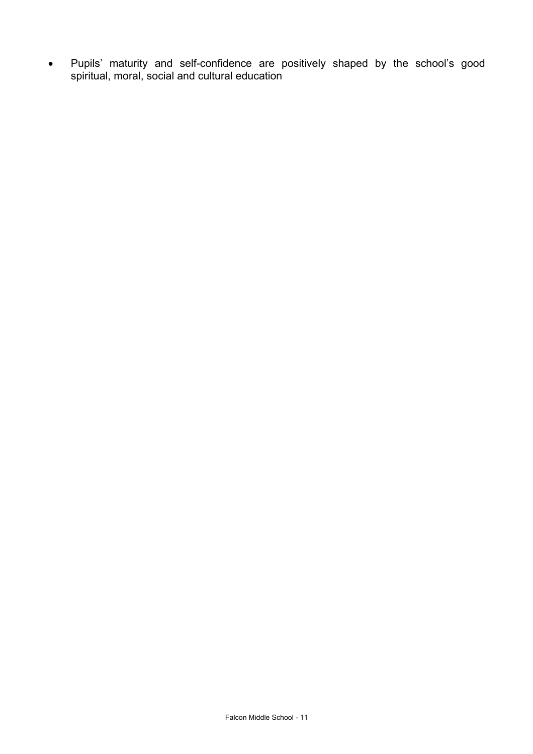• Pupils' maturity and self-confidence are positively shaped by the school's good spiritual, moral, social and cultural education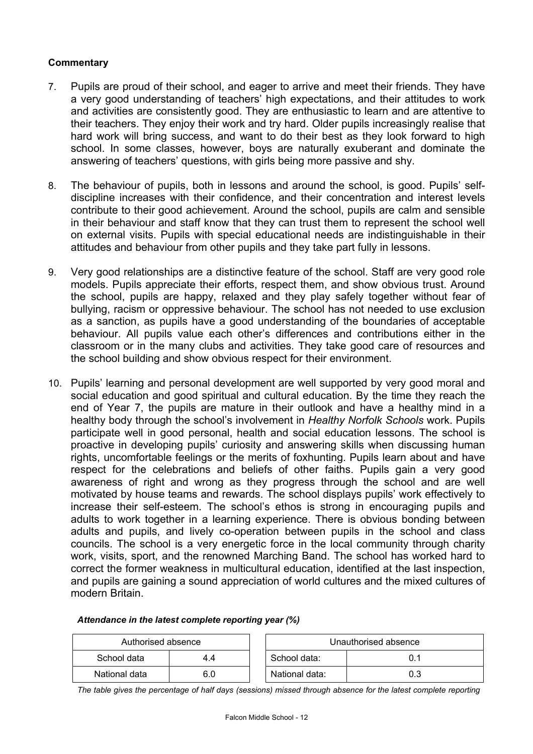### **Commentary**

- 7. Pupils are proud of their school, and eager to arrive and meet their friends. They have a very good understanding of teachers' high expectations, and their attitudes to work and activities are consistently good. They are enthusiastic to learn and are attentive to their teachers. They enjoy their work and try hard. Older pupils increasingly realise that hard work will bring success, and want to do their best as they look forward to high school. In some classes, however, boys are naturally exuberant and dominate the answering of teachers' questions, with girls being more passive and shy.
- 8. The behaviour of pupils, both in lessons and around the school, is good. Pupils' selfdiscipline increases with their confidence, and their concentration and interest levels contribute to their good achievement. Around the school, pupils are calm and sensible in their behaviour and staff know that they can trust them to represent the school well on external visits. Pupils with special educational needs are indistinguishable in their attitudes and behaviour from other pupils and they take part fully in lessons.
- 9. Very good relationships are a distinctive feature of the school. Staff are very good role models. Pupils appreciate their efforts, respect them, and show obvious trust. Around the school, pupils are happy, relaxed and they play safely together without fear of bullying, racism or oppressive behaviour. The school has not needed to use exclusion as a sanction, as pupils have a good understanding of the boundaries of acceptable behaviour. All pupils value each other's differences and contributions either in the classroom or in the many clubs and activities. They take good care of resources and the school building and show obvious respect for their environment.
- 10. Pupils' learning and personal development are well supported by very good moral and social education and good spiritual and cultural education. By the time they reach the end of Year 7, the pupils are mature in their outlook and have a healthy mind in a healthy body through the school's involvement in *Healthy Norfolk Schools* work. Pupils participate well in good personal, health and social education lessons. The school is proactive in developing pupils' curiosity and answering skills when discussing human rights, uncomfortable feelings or the merits of foxhunting. Pupils learn about and have respect for the celebrations and beliefs of other faiths. Pupils gain a very good awareness of right and wrong as they progress through the school and are well motivated by house teams and rewards. The school displays pupils' work effectively to increase their self-esteem. The school's ethos is strong in encouraging pupils and adults to work together in a learning experience. There is obvious bonding between adults and pupils, and lively co-operation between pupils in the school and class councils. The school is a very energetic force in the local community through charity work, visits, sport, and the renowned Marching Band. The school has worked hard to correct the former weakness in multicultural education, identified at the last inspection, and pupils are gaining a sound appreciation of world cultures and the mixed cultures of modern Britain.

| Authorised absence |     |                | Unauthorised absence |
|--------------------|-----|----------------|----------------------|
| School data        | 4.4 | School data:   | 0.1                  |
| National data      | 6.0 | National data: | 0.3                  |

#### *Attendance in the latest complete reporting year (%)*

*The table gives the percentage of half days (sessions) missed through absence for the latest complete reporting*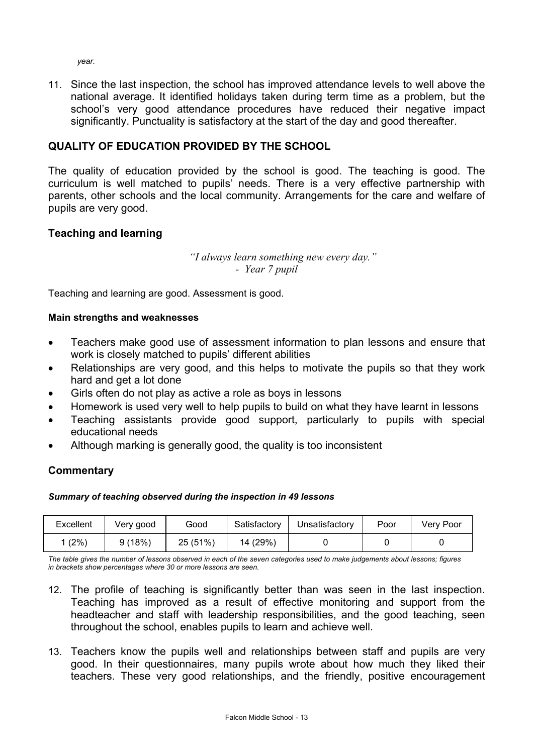*year.*

11. Since the last inspection, the school has improved attendance levels to well above the national average. It identified holidays taken during term time as a problem, but the school's very good attendance procedures have reduced their negative impact significantly. Punctuality is satisfactory at the start of the day and good thereafter.

## **QUALITY OF EDUCATION PROVIDED BY THE SCHOOL**

The quality of education provided by the school is good. The teaching is good. The curriculum is well matched to pupils' needs. There is a very effective partnership with parents, other schools and the local community. Arrangements for the care and welfare of pupils are very good.

## **Teaching and learning**

*"I always learn something new every day." - Year 7 pupil*

Teaching and learning are good. Assessment is good.

### **Main strengths and weaknesses**

- Teachers make good use of assessment information to plan lessons and ensure that work is closely matched to pupils' different abilities
- Relationships are very good, and this helps to motivate the pupils so that they work hard and get a lot done
- Girls often do not play as active a role as boys in lessons
- Homework is used very well to help pupils to build on what they have learnt in lessons
- Teaching assistants provide good support, particularly to pupils with special educational needs
- Although marking is generally good, the quality is too inconsistent

## **Commentary**

#### *Summary of teaching observed during the inspection in 49 lessons*

| Excellent | Verv good | Good     | Satisfactory | Unsatisfactory | Poor | Very Poor |
|-----------|-----------|----------|--------------|----------------|------|-----------|
| (2%       | 9(18%)    | 25 (51%) | 14 (29%)     |                |      |           |

*The table gives the number of lessons observed in each of the seven categories used to make judgements about lessons; figures in brackets show percentages where 30 or more lessons are seen.* 

- 12. The profile of teaching is significantly better than was seen in the last inspection. Teaching has improved as a result of effective monitoring and support from the headteacher and staff with leadership responsibilities, and the good teaching, seen throughout the school, enables pupils to learn and achieve well.
- 13. Teachers know the pupils well and relationships between staff and pupils are very good. In their questionnaires, many pupils wrote about how much they liked their teachers. These very good relationships, and the friendly, positive encouragement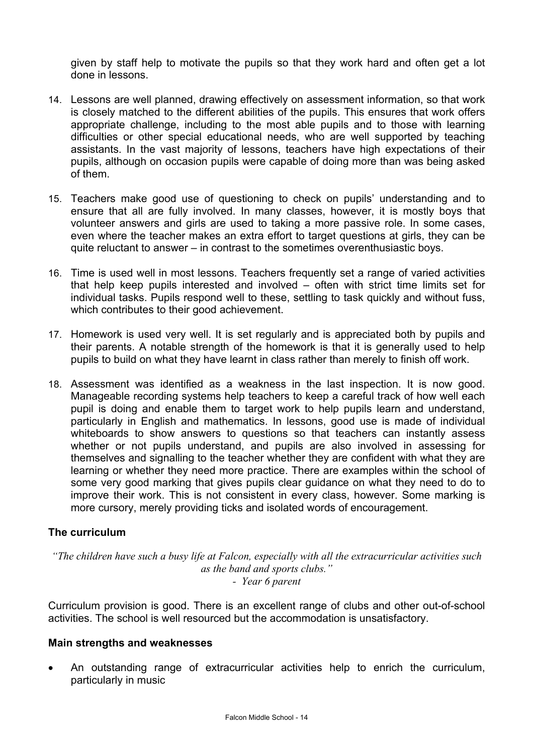given by staff help to motivate the pupils so that they work hard and often get a lot done in lessons.

- 14. Lessons are well planned, drawing effectively on assessment information, so that work is closely matched to the different abilities of the pupils. This ensures that work offers appropriate challenge, including to the most able pupils and to those with learning difficulties or other special educational needs, who are well supported by teaching assistants. In the vast majority of lessons, teachers have high expectations of their pupils, although on occasion pupils were capable of doing more than was being asked of them.
- 15. Teachers make good use of questioning to check on pupils' understanding and to ensure that all are fully involved. In many classes, however, it is mostly boys that volunteer answers and girls are used to taking a more passive role. In some cases, even where the teacher makes an extra effort to target questions at girls, they can be quite reluctant to answer – in contrast to the sometimes overenthusiastic boys.
- 16. Time is used well in most lessons. Teachers frequently set a range of varied activities that help keep pupils interested and involved – often with strict time limits set for individual tasks. Pupils respond well to these, settling to task quickly and without fuss, which contributes to their good achievement.
- 17. Homework is used very well. It is set regularly and is appreciated both by pupils and their parents. A notable strength of the homework is that it is generally used to help pupils to build on what they have learnt in class rather than merely to finish off work.
- 18. Assessment was identified as a weakness in the last inspection. It is now good. Manageable recording systems help teachers to keep a careful track of how well each pupil is doing and enable them to target work to help pupils learn and understand, particularly in English and mathematics. In lessons, good use is made of individual whiteboards to show answers to questions so that teachers can instantly assess whether or not pupils understand, and pupils are also involved in assessing for themselves and signalling to the teacher whether they are confident with what they are learning or whether they need more practice. There are examples within the school of some very good marking that gives pupils clear guidance on what they need to do to improve their work. This is not consistent in every class, however. Some marking is more cursory, merely providing ticks and isolated words of encouragement.

## **The curriculum**

*"The children have such a busy life at Falcon, especially with all the extracurricular activities such as the band and sports clubs." - Year 6 parent*

Curriculum provision is good. There is an excellent range of clubs and other out-of-school activities. The school is well resourced but the accommodation is unsatisfactory.

## **Main strengths and weaknesses**

• An outstanding range of extracurricular activities help to enrich the curriculum, particularly in music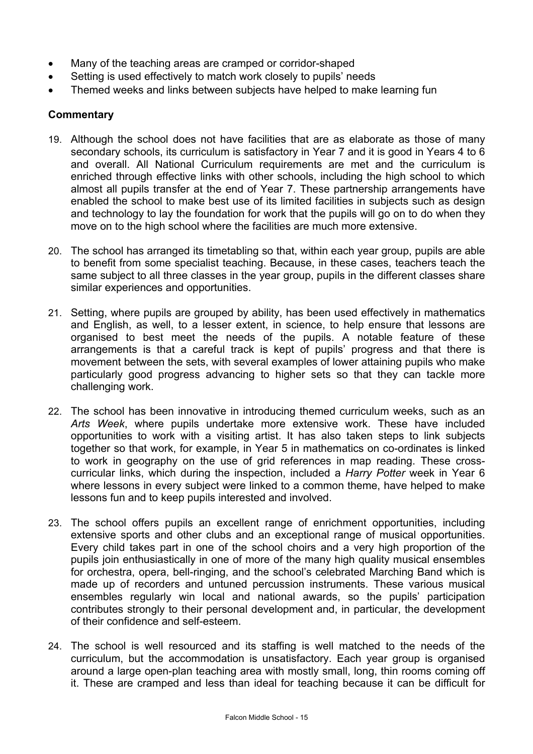- Many of the teaching areas are cramped or corridor-shaped
- Setting is used effectively to match work closely to pupils' needs
- Themed weeks and links between subjects have helped to make learning fun

- 19. Although the school does not have facilities that are as elaborate as those of many secondary schools, its curriculum is satisfactory in Year 7 and it is good in Years 4 to 6 and overall. All National Curriculum requirements are met and the curriculum is enriched through effective links with other schools, including the high school to which almost all pupils transfer at the end of Year 7. These partnership arrangements have enabled the school to make best use of its limited facilities in subjects such as design and technology to lay the foundation for work that the pupils will go on to do when they move on to the high school where the facilities are much more extensive.
- 20. The school has arranged its timetabling so that, within each year group, pupils are able to benefit from some specialist teaching. Because, in these cases, teachers teach the same subject to all three classes in the year group, pupils in the different classes share similar experiences and opportunities.
- 21. Setting, where pupils are grouped by ability, has been used effectively in mathematics and English, as well, to a lesser extent, in science, to help ensure that lessons are organised to best meet the needs of the pupils. A notable feature of these arrangements is that a careful track is kept of pupils' progress and that there is movement between the sets, with several examples of lower attaining pupils who make particularly good progress advancing to higher sets so that they can tackle more challenging work.
- 22. The school has been innovative in introducing themed curriculum weeks, such as an *Arts Week*, where pupils undertake more extensive work. These have included opportunities to work with a visiting artist. It has also taken steps to link subjects together so that work, for example, in Year 5 in mathematics on co-ordinates is linked to work in geography on the use of grid references in map reading. These crosscurricular links, which during the inspection, included a *Harry Potter* week in Year 6 where lessons in every subject were linked to a common theme, have helped to make lessons fun and to keep pupils interested and involved.
- 23. The school offers pupils an excellent range of enrichment opportunities, including extensive sports and other clubs and an exceptional range of musical opportunities. Every child takes part in one of the school choirs and a very high proportion of the pupils join enthusiastically in one of more of the many high quality musical ensembles for orchestra, opera, bell-ringing, and the school's celebrated Marching Band which is made up of recorders and untuned percussion instruments. These various musical ensembles regularly win local and national awards, so the pupils' participation contributes strongly to their personal development and, in particular, the development of their confidence and self-esteem.
- 24. The school is well resourced and its staffing is well matched to the needs of the curriculum, but the accommodation is unsatisfactory. Each year group is organised around a large open-plan teaching area with mostly small, long, thin rooms coming off it. These are cramped and less than ideal for teaching because it can be difficult for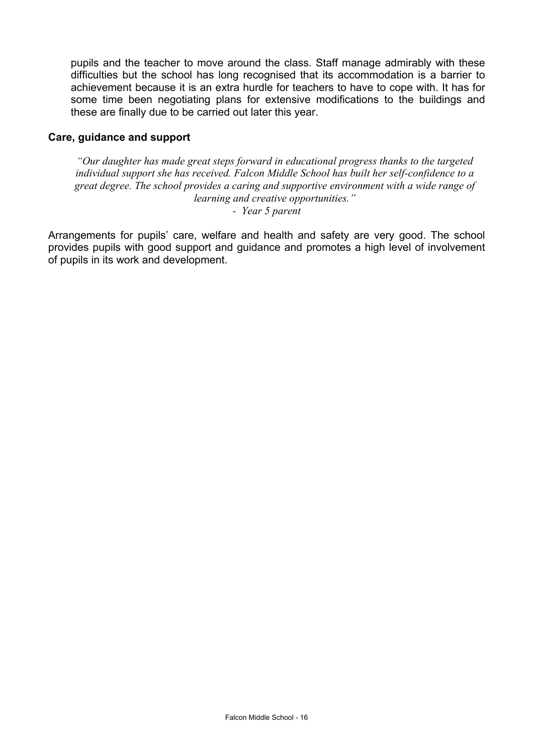pupils and the teacher to move around the class. Staff manage admirably with these difficulties but the school has long recognised that its accommodation is a barrier to achievement because it is an extra hurdle for teachers to have to cope with. It has for some time been negotiating plans for extensive modifications to the buildings and these are finally due to be carried out later this year.

### **Care, guidance and support**

*"Our daughter has made great steps forward in educational progress thanks to the targeted individual support she has received. Falcon Middle School has built her self-confidence to a great degree. The school provides a caring and supportive environment with a wide range of learning and creative opportunities."*

*- Year 5 parent*

Arrangements for pupils' care, welfare and health and safety are very good. The school provides pupils with good support and guidance and promotes a high level of involvement of pupils in its work and development.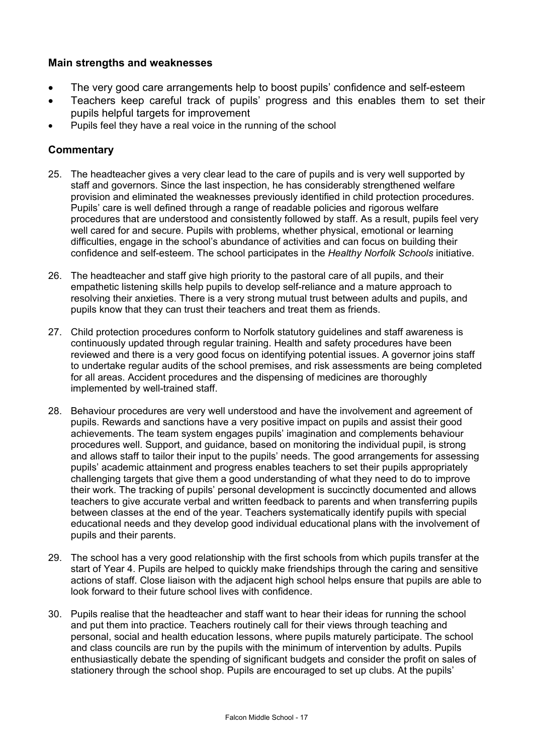## **Main strengths and weaknesses**

- The very good care arrangements help to boost pupils' confidence and self-esteem
- Teachers keep careful track of pupils' progress and this enables them to set their pupils helpful targets for improvement
- Pupils feel they have a real voice in the running of the school

- 25. The headteacher gives a very clear lead to the care of pupils and is very well supported by staff and governors. Since the last inspection, he has considerably strengthened welfare provision and eliminated the weaknesses previously identified in child protection procedures. Pupils' care is well defined through a range of readable policies and rigorous welfare procedures that are understood and consistently followed by staff. As a result, pupils feel very well cared for and secure. Pupils with problems, whether physical, emotional or learning difficulties, engage in the school's abundance of activities and can focus on building their confidence and self-esteem. The school participates in the *Healthy Norfolk Schools* initiative.
- 26. The headteacher and staff give high priority to the pastoral care of all pupils, and their empathetic listening skills help pupils to develop self-reliance and a mature approach to resolving their anxieties. There is a very strong mutual trust between adults and pupils, and pupils know that they can trust their teachers and treat them as friends.
- 27. Child protection procedures conform to Norfolk statutory guidelines and staff awareness is continuously updated through regular training. Health and safety procedures have been reviewed and there is a very good focus on identifying potential issues. A governor joins staff to undertake regular audits of the school premises, and risk assessments are being completed for all areas. Accident procedures and the dispensing of medicines are thoroughly implemented by well-trained staff.
- 28. Behaviour procedures are very well understood and have the involvement and agreement of pupils. Rewards and sanctions have a very positive impact on pupils and assist their good achievements. The team system engages pupils' imagination and complements behaviour procedures well. Support, and guidance, based on monitoring the individual pupil, is strong and allows staff to tailor their input to the pupils' needs. The good arrangements for assessing pupils' academic attainment and progress enables teachers to set their pupils appropriately challenging targets that give them a good understanding of what they need to do to improve their work. The tracking of pupils' personal development is succinctly documented and allows teachers to give accurate verbal and written feedback to parents and when transferring pupils between classes at the end of the year. Teachers systematically identify pupils with special educational needs and they develop good individual educational plans with the involvement of pupils and their parents.
- 29. The school has a very good relationship with the first schools from which pupils transfer at the start of Year 4. Pupils are helped to quickly make friendships through the caring and sensitive actions of staff. Close liaison with the adjacent high school helps ensure that pupils are able to look forward to their future school lives with confidence.
- 30. Pupils realise that the headteacher and staff want to hear their ideas for running the school and put them into practice. Teachers routinely call for their views through teaching and personal, social and health education lessons, where pupils maturely participate. The school and class councils are run by the pupils with the minimum of intervention by adults. Pupils enthusiastically debate the spending of significant budgets and consider the profit on sales of stationery through the school shop. Pupils are encouraged to set up clubs. At the pupils'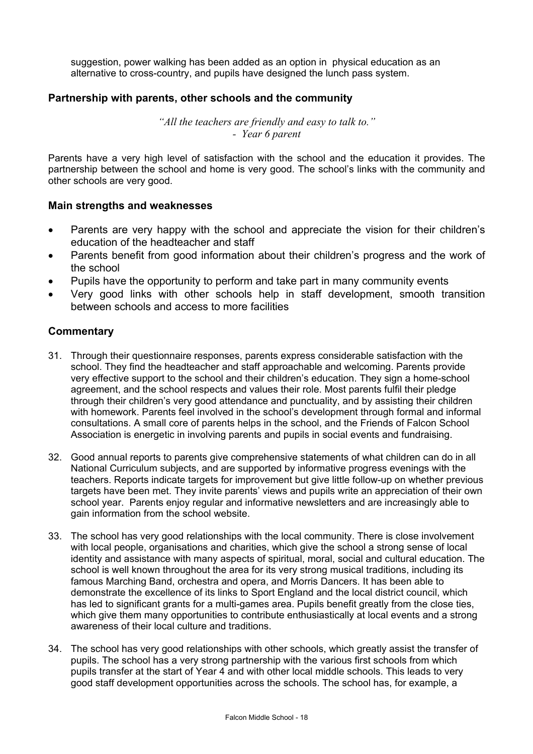suggestion, power walking has been added as an option in physical education as an alternative to cross-country, and pupils have designed the lunch pass system.

### **Partnership with parents, other schools and the community**

*"All the teachers are friendly and easy to talk to." - Year 6 parent* 

Parents have a very high level of satisfaction with the school and the education it provides. The partnership between the school and home is very good. The school's links with the community and other schools are very good.

#### **Main strengths and weaknesses**

- Parents are very happy with the school and appreciate the vision for their children's education of the headteacher and staff
- Parents benefit from good information about their children's progress and the work of the school
- Pupils have the opportunity to perform and take part in many community events
- Very good links with other schools help in staff development, smooth transition between schools and access to more facilities

- 31. Through their questionnaire responses, parents express considerable satisfaction with the school. They find the headteacher and staff approachable and welcoming. Parents provide very effective support to the school and their children's education. They sign a home-school agreement, and the school respects and values their role. Most parents fulfil their pledge through their children's very good attendance and punctuality, and by assisting their children with homework. Parents feel involved in the school's development through formal and informal consultations. A small core of parents helps in the school, and the Friends of Falcon School Association is energetic in involving parents and pupils in social events and fundraising.
- 32. Good annual reports to parents give comprehensive statements of what children can do in all National Curriculum subjects, and are supported by informative progress evenings with the teachers. Reports indicate targets for improvement but give little follow-up on whether previous targets have been met. They invite parents' views and pupils write an appreciation of their own school year. Parents enjoy regular and informative newsletters and are increasingly able to gain information from the school website.
- 33. The school has very good relationships with the local community. There is close involvement with local people, organisations and charities, which give the school a strong sense of local identity and assistance with many aspects of spiritual, moral, social and cultural education. The school is well known throughout the area for its very strong musical traditions, including its famous Marching Band, orchestra and opera, and Morris Dancers. It has been able to demonstrate the excellence of its links to Sport England and the local district council, which has led to significant grants for a multi-games area. Pupils benefit greatly from the close ties, which give them many opportunities to contribute enthusiastically at local events and a strong awareness of their local culture and traditions.
- 34. The school has very good relationships with other schools, which greatly assist the transfer of pupils. The school has a very strong partnership with the various first schools from which pupils transfer at the start of Year 4 and with other local middle schools. This leads to very good staff development opportunities across the schools. The school has, for example, a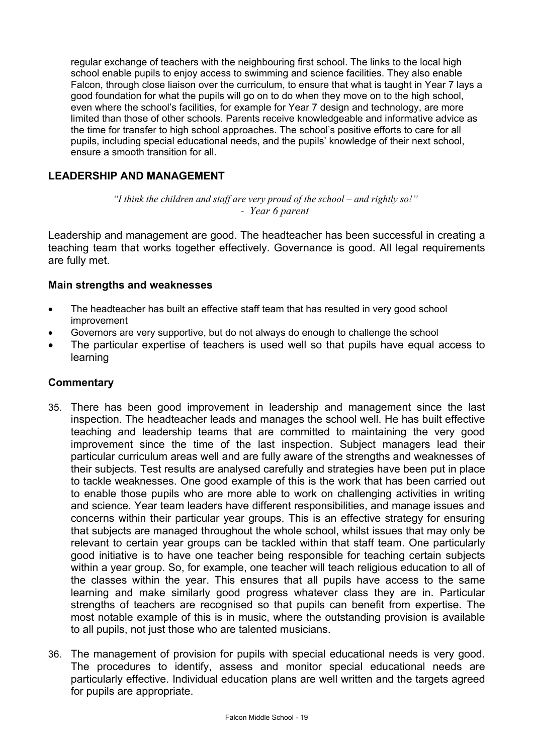regular exchange of teachers with the neighbouring first school. The links to the local high school enable pupils to enjoy access to swimming and science facilities. They also enable Falcon, through close liaison over the curriculum, to ensure that what is taught in Year 7 lays a good foundation for what the pupils will go on to do when they move on to the high school, even where the school's facilities, for example for Year 7 design and technology, are more limited than those of other schools. Parents receive knowledgeable and informative advice as the time for transfer to high school approaches. The school's positive efforts to care for all pupils, including special educational needs, and the pupils' knowledge of their next school, ensure a smooth transition for all.

## **LEADERSHIP AND MANAGEMENT**

## *"I think the children and staff are very proud of the school – and rightly so!" - Year 6 parent*

Leadership and management are good. The headteacher has been successful in creating a teaching team that works together effectively. Governance is good. All legal requirements are fully met.

### **Main strengths and weaknesses**

- The headteacher has built an effective staff team that has resulted in very good school improvement
- Governors are very supportive, but do not always do enough to challenge the school
- The particular expertise of teachers is used well so that pupils have equal access to learning

- 35. There has been good improvement in leadership and management since the last inspection. The headteacher leads and manages the school well. He has built effective teaching and leadership teams that are committed to maintaining the very good improvement since the time of the last inspection. Subject managers lead their particular curriculum areas well and are fully aware of the strengths and weaknesses of their subjects. Test results are analysed carefully and strategies have been put in place to tackle weaknesses. One good example of this is the work that has been carried out to enable those pupils who are more able to work on challenging activities in writing and science. Year team leaders have different responsibilities, and manage issues and concerns within their particular year groups. This is an effective strategy for ensuring that subjects are managed throughout the whole school, whilst issues that may only be relevant to certain year groups can be tackled within that staff team. One particularly good initiative is to have one teacher being responsible for teaching certain subjects within a year group. So, for example, one teacher will teach religious education to all of the classes within the year. This ensures that all pupils have access to the same learning and make similarly good progress whatever class they are in. Particular strengths of teachers are recognised so that pupils can benefit from expertise. The most notable example of this is in music, where the outstanding provision is available to all pupils, not just those who are talented musicians.
- 36. The management of provision for pupils with special educational needs is very good. The procedures to identify, assess and monitor special educational needs are particularly effective. Individual education plans are well written and the targets agreed for pupils are appropriate.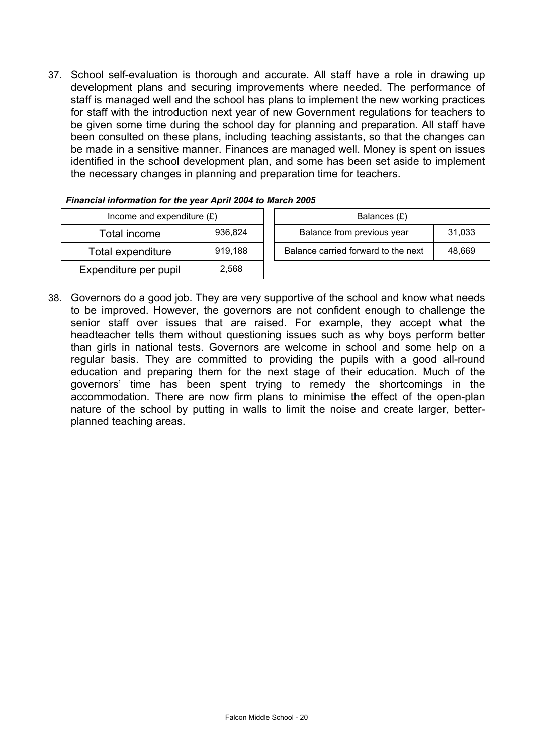37. School self-evaluation is thorough and accurate. All staff have a role in drawing up development plans and securing improvements where needed. The performance of staff is managed well and the school has plans to implement the new working practices for staff with the introduction next year of new Government regulations for teachers to be given some time during the school day for planning and preparation. All staff have been consulted on these plans, including teaching assistants, so that the changes can be made in a sensitive manner. Finances are managed well. Money is spent on issues identified in the school development plan, and some has been set aside to implement the necessary changes in planning and preparation time for teachers.

| Income and expenditure $(E)$ |         | Balances $(E)$             |                                  |
|------------------------------|---------|----------------------------|----------------------------------|
| Total income                 | 936,824 | Balance from previous year |                                  |
| Total expenditure            | 919,188 |                            | Balance carried forward to the r |
| Expenditure per pupil        | 2,568   |                            |                                  |

| Financial information for the year April 2004 to March 2005 |  |
|-------------------------------------------------------------|--|
| $\sim$ $\sim$ $\sim$ $\sim$ $\sim$ $\sim$ $\sim$            |  |

| Income and expenditure $(E)$ |         |  | Balances (£)                        |        |
|------------------------------|---------|--|-------------------------------------|--------|
| Total income                 | 936.824 |  | Balance from previous year          | 31.033 |
| Total expenditure            | 919.188 |  | Balance carried forward to the next | 48.669 |
|                              |         |  |                                     |        |

38. Governors do a good job. They are very supportive of the school and know what needs to be improved. However, the governors are not confident enough to challenge the senior staff over issues that are raised. For example, they accept what the headteacher tells them without questioning issues such as why boys perform better than girls in national tests. Governors are welcome in school and some help on a regular basis. They are committed to providing the pupils with a good all-round education and preparing them for the next stage of their education. Much of the governors' time has been spent trying to remedy the shortcomings in the accommodation. There are now firm plans to minimise the effect of the open-plan nature of the school by putting in walls to limit the noise and create larger, betterplanned teaching areas.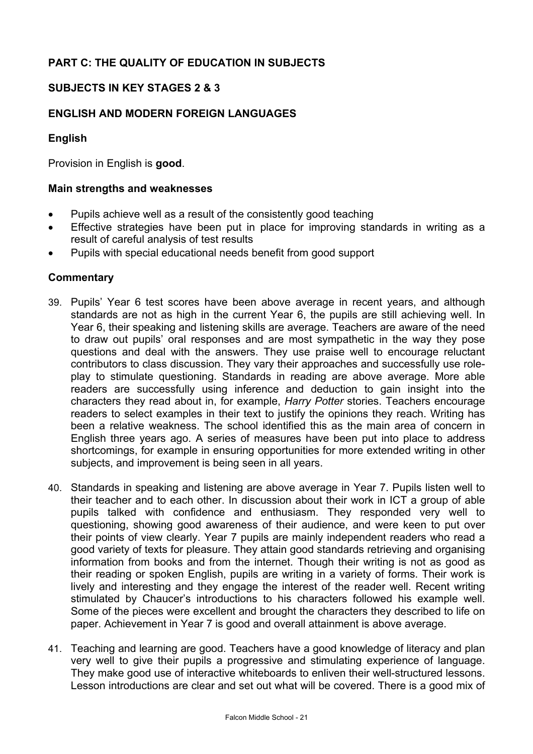# **PART C: THE QUALITY OF EDUCATION IN SUBJECTS**

## **SUBJECTS IN KEY STAGES 2 & 3**

## **ENGLISH AND MODERN FOREIGN LANGUAGES**

## **English**

Provision in English is **good**.

#### **Main strengths and weaknesses**

- Pupils achieve well as a result of the consistently good teaching
- Effective strategies have been put in place for improving standards in writing as a result of careful analysis of test results
- Pupils with special educational needs benefit from good support

- 39. Pupils' Year 6 test scores have been above average in recent years, and although standards are not as high in the current Year 6, the pupils are still achieving well. In Year 6, their speaking and listening skills are average. Teachers are aware of the need to draw out pupils' oral responses and are most sympathetic in the way they pose questions and deal with the answers. They use praise well to encourage reluctant contributors to class discussion. They vary their approaches and successfully use roleplay to stimulate questioning. Standards in reading are above average. More able readers are successfully using inference and deduction to gain insight into the characters they read about in, for example, *Harry Potter* stories. Teachers encourage readers to select examples in their text to justify the opinions they reach. Writing has been a relative weakness. The school identified this as the main area of concern in English three years ago. A series of measures have been put into place to address shortcomings, for example in ensuring opportunities for more extended writing in other subjects, and improvement is being seen in all years.
- 40. Standards in speaking and listening are above average in Year 7. Pupils listen well to their teacher and to each other. In discussion about their work in ICT a group of able pupils talked with confidence and enthusiasm. They responded very well to questioning, showing good awareness of their audience, and were keen to put over their points of view clearly. Year 7 pupils are mainly independent readers who read a good variety of texts for pleasure. They attain good standards retrieving and organising information from books and from the internet. Though their writing is not as good as their reading or spoken English, pupils are writing in a variety of forms. Their work is lively and interesting and they engage the interest of the reader well. Recent writing stimulated by Chaucer's introductions to his characters followed his example well. Some of the pieces were excellent and brought the characters they described to life on paper. Achievement in Year 7 is good and overall attainment is above average.
- 41. Teaching and learning are good. Teachers have a good knowledge of literacy and plan very well to give their pupils a progressive and stimulating experience of language. They make good use of interactive whiteboards to enliven their well-structured lessons. Lesson introductions are clear and set out what will be covered. There is a good mix of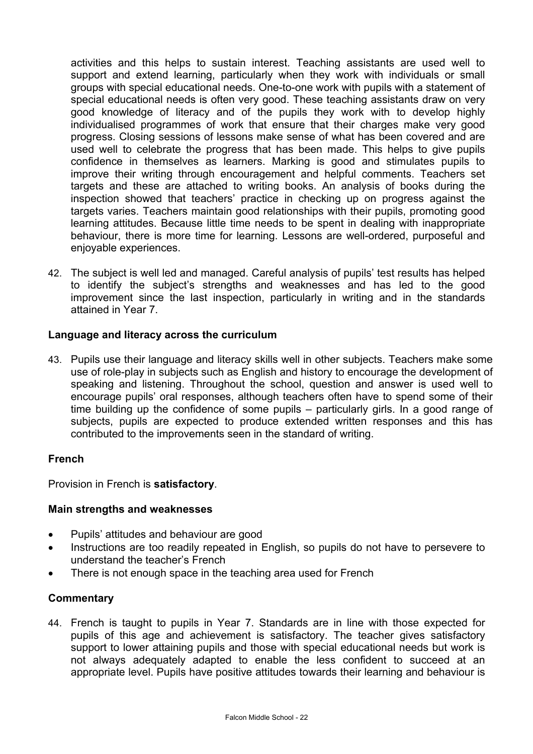activities and this helps to sustain interest. Teaching assistants are used well to support and extend learning, particularly when they work with individuals or small groups with special educational needs. One-to-one work with pupils with a statement of special educational needs is often very good. These teaching assistants draw on very good knowledge of literacy and of the pupils they work with to develop highly individualised programmes of work that ensure that their charges make very good progress. Closing sessions of lessons make sense of what has been covered and are used well to celebrate the progress that has been made. This helps to give pupils confidence in themselves as learners. Marking is good and stimulates pupils to improve their writing through encouragement and helpful comments. Teachers set targets and these are attached to writing books. An analysis of books during the inspection showed that teachers' practice in checking up on progress against the targets varies. Teachers maintain good relationships with their pupils, promoting good learning attitudes. Because little time needs to be spent in dealing with inappropriate behaviour, there is more time for learning. Lessons are well-ordered, purposeful and enjoyable experiences.

42. The subject is well led and managed. Careful analysis of pupils' test results has helped to identify the subject's strengths and weaknesses and has led to the good improvement since the last inspection, particularly in writing and in the standards attained in Year 7.

## **Language and literacy across the curriculum**

43. Pupils use their language and literacy skills well in other subjects. Teachers make some use of role-play in subjects such as English and history to encourage the development of speaking and listening. Throughout the school, question and answer is used well to encourage pupils' oral responses, although teachers often have to spend some of their time building up the confidence of some pupils – particularly girls. In a good range of subjects, pupils are expected to produce extended written responses and this has contributed to the improvements seen in the standard of writing.

## **French**

Provision in French is **satisfactory**.

## **Main strengths and weaknesses**

- Pupils' attitudes and behaviour are good
- Instructions are too readily repeated in English, so pupils do not have to persevere to understand the teacher's French
- There is not enough space in the teaching area used for French

## **Commentary**

44. French is taught to pupils in Year 7. Standards are in line with those expected for pupils of this age and achievement is satisfactory. The teacher gives satisfactory support to lower attaining pupils and those with special educational needs but work is not always adequately adapted to enable the less confident to succeed at an appropriate level. Pupils have positive attitudes towards their learning and behaviour is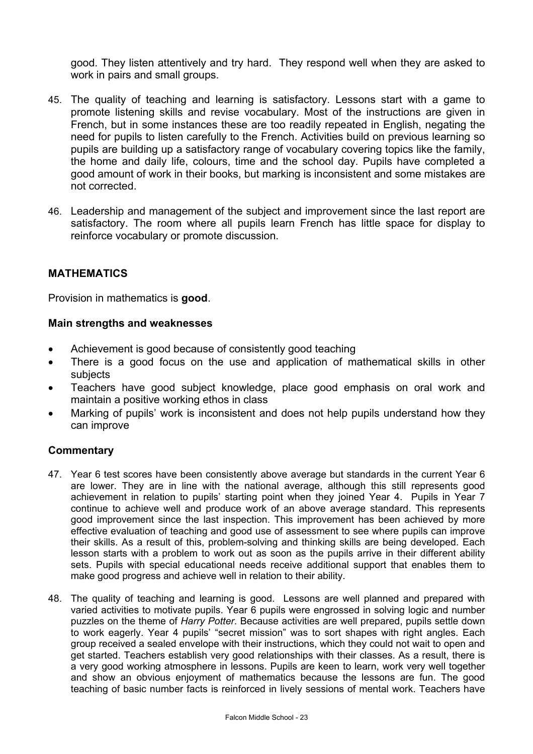good. They listen attentively and try hard. They respond well when they are asked to work in pairs and small groups.

- 45. The quality of teaching and learning is satisfactory. Lessons start with a game to promote listening skills and revise vocabulary. Most of the instructions are given in French, but in some instances these are too readily repeated in English, negating the need for pupils to listen carefully to the French. Activities build on previous learning so pupils are building up a satisfactory range of vocabulary covering topics like the family, the home and daily life, colours, time and the school day. Pupils have completed a good amount of work in their books, but marking is inconsistent and some mistakes are not corrected.
- 46. Leadership and management of the subject and improvement since the last report are satisfactory. The room where all pupils learn French has little space for display to reinforce vocabulary or promote discussion.

## **MATHEMATICS**

Provision in mathematics is **good**.

#### **Main strengths and weaknesses**

- Achievement is good because of consistently good teaching
- There is a good focus on the use and application of mathematical skills in other subjects
- Teachers have good subject knowledge, place good emphasis on oral work and maintain a positive working ethos in class
- Marking of pupils' work is inconsistent and does not help pupils understand how they can improve

- 47. Year 6 test scores have been consistently above average but standards in the current Year 6 are lower. They are in line with the national average, although this still represents good achievement in relation to pupils' starting point when they joined Year 4. Pupils in Year 7 continue to achieve well and produce work of an above average standard. This represents good improvement since the last inspection. This improvement has been achieved by more effective evaluation of teaching and good use of assessment to see where pupils can improve their skills. As a result of this, problem-solving and thinking skills are being developed. Each lesson starts with a problem to work out as soon as the pupils arrive in their different ability sets. Pupils with special educational needs receive additional support that enables them to make good progress and achieve well in relation to their ability.
- 48. The quality of teaching and learning is good. Lessons are well planned and prepared with varied activities to motivate pupils. Year 6 pupils were engrossed in solving logic and number puzzles on the theme of *Harry Potter*. Because activities are well prepared, pupils settle down to work eagerly. Year 4 pupils' "secret mission" was to sort shapes with right angles. Each group received a sealed envelope with their instructions, which they could not wait to open and get started. Teachers establish very good relationships with their classes. As a result, there is a very good working atmosphere in lessons. Pupils are keen to learn, work very well together and show an obvious enjoyment of mathematics because the lessons are fun. The good teaching of basic number facts is reinforced in lively sessions of mental work. Teachers have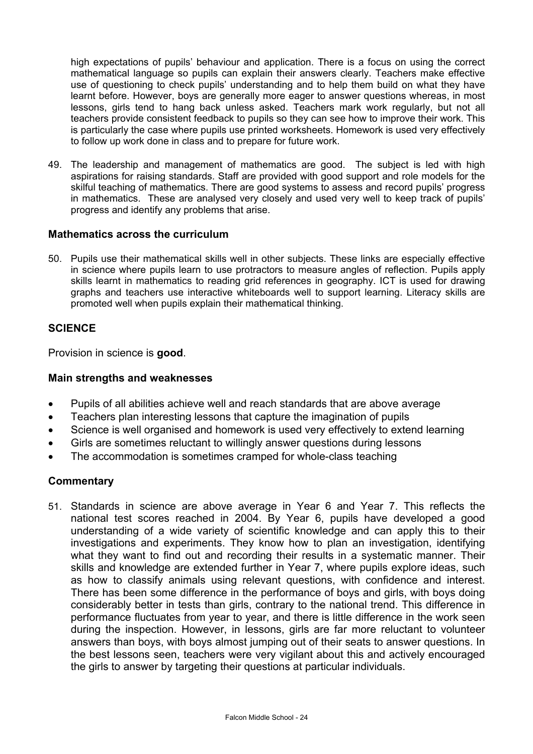high expectations of pupils' behaviour and application. There is a focus on using the correct mathematical language so pupils can explain their answers clearly. Teachers make effective use of questioning to check pupils' understanding and to help them build on what they have learnt before. However, boys are generally more eager to answer questions whereas, in most lessons, girls tend to hang back unless asked. Teachers mark work regularly, but not all teachers provide consistent feedback to pupils so they can see how to improve their work. This is particularly the case where pupils use printed worksheets. Homework is used very effectively to follow up work done in class and to prepare for future work.

49. The leadership and management of mathematics are good. The subject is led with high aspirations for raising standards. Staff are provided with good support and role models for the skilful teaching of mathematics. There are good systems to assess and record pupils' progress in mathematics. These are analysed very closely and used very well to keep track of pupils' progress and identify any problems that arise.

### **Mathematics across the curriculum**

50. Pupils use their mathematical skills well in other subjects. These links are especially effective in science where pupils learn to use protractors to measure angles of reflection. Pupils apply skills learnt in mathematics to reading grid references in geography. ICT is used for drawing graphs and teachers use interactive whiteboards well to support learning. Literacy skills are promoted well when pupils explain their mathematical thinking.

## **SCIENCE**

Provision in science is **good**.

#### **Main strengths and weaknesses**

- Pupils of all abilities achieve well and reach standards that are above average
- Teachers plan interesting lessons that capture the imagination of pupils
- Science is well organised and homework is used very effectively to extend learning
- Girls are sometimes reluctant to willingly answer questions during lessons
- The accommodation is sometimes cramped for whole-class teaching

#### **Commentary**

51. Standards in science are above average in Year 6 and Year 7. This reflects the national test scores reached in 2004. By Year 6, pupils have developed a good understanding of a wide variety of scientific knowledge and can apply this to their investigations and experiments. They know how to plan an investigation, identifying what they want to find out and recording their results in a systematic manner. Their skills and knowledge are extended further in Year 7, where pupils explore ideas, such as how to classify animals using relevant questions, with confidence and interest. There has been some difference in the performance of boys and girls, with boys doing considerably better in tests than girls, contrary to the national trend. This difference in performance fluctuates from year to year, and there is little difference in the work seen during the inspection. However, in lessons, girls are far more reluctant to volunteer answers than boys, with boys almost jumping out of their seats to answer questions. In the best lessons seen, teachers were very vigilant about this and actively encouraged the girls to answer by targeting their questions at particular individuals.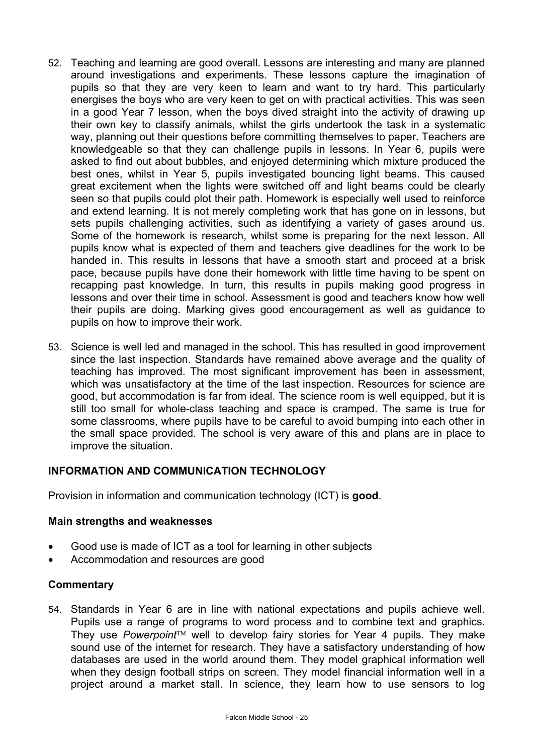- 52. Teaching and learning are good overall. Lessons are interesting and many are planned around investigations and experiments. These lessons capture the imagination of pupils so that they are very keen to learn and want to try hard. This particularly energises the boys who are very keen to get on with practical activities. This was seen in a good Year 7 lesson, when the boys dived straight into the activity of drawing up their own key to classify animals, whilst the girls undertook the task in a systematic way, planning out their questions before committing themselves to paper. Teachers are knowledgeable so that they can challenge pupils in lessons. In Year 6, pupils were asked to find out about bubbles, and enjoyed determining which mixture produced the best ones, whilst in Year 5, pupils investigated bouncing light beams. This caused great excitement when the lights were switched off and light beams could be clearly seen so that pupils could plot their path. Homework is especially well used to reinforce and extend learning. It is not merely completing work that has gone on in lessons, but sets pupils challenging activities, such as identifying a variety of gases around us. Some of the homework is research, whilst some is preparing for the next lesson. All pupils know what is expected of them and teachers give deadlines for the work to be handed in. This results in lessons that have a smooth start and proceed at a brisk pace, because pupils have done their homework with little time having to be spent on recapping past knowledge. In turn, this results in pupils making good progress in lessons and over their time in school. Assessment is good and teachers know how well their pupils are doing. Marking gives good encouragement as well as guidance to pupils on how to improve their work.
- 53. Science is well led and managed in the school. This has resulted in good improvement since the last inspection. Standards have remained above average and the quality of teaching has improved. The most significant improvement has been in assessment, which was unsatisfactory at the time of the last inspection. Resources for science are good, but accommodation is far from ideal. The science room is well equipped, but it is still too small for whole-class teaching and space is cramped. The same is true for some classrooms, where pupils have to be careful to avoid bumping into each other in the small space provided. The school is very aware of this and plans are in place to improve the situation.

## **INFORMATION AND COMMUNICATION TECHNOLOGY**

Provision in information and communication technology (ICT) is **good**.

#### **Main strengths and weaknesses**

- Good use is made of ICT as a tool for learning in other subjects
- Accommodation and resources are good

#### **Commentary**

54. Standards in Year 6 are in line with national expectations and pupils achieve well. Pupils use a range of programs to word process and to combine text and graphics. They use *Powerpoint<sup>™</sup>* well to develop fairy stories for Year 4 pupils. They make sound use of the internet for research. They have a satisfactory understanding of how databases are used in the world around them. They model graphical information well when they design football strips on screen. They model financial information well in a project around a market stall. In science, they learn how to use sensors to log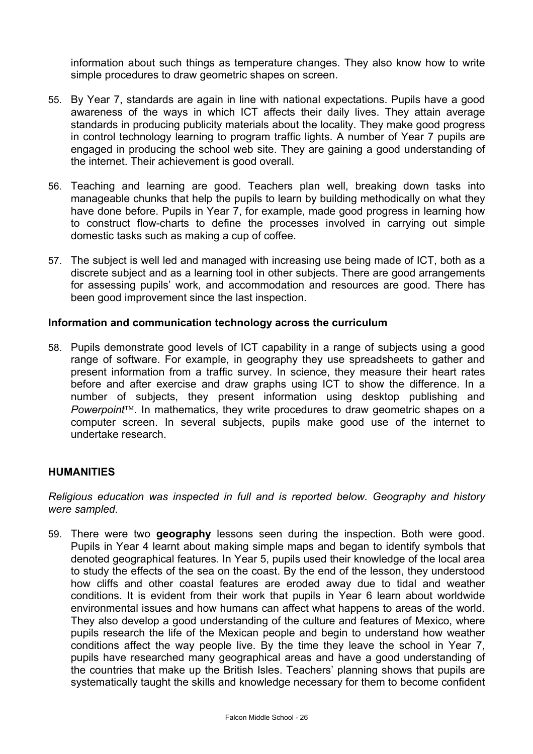information about such things as temperature changes. They also know how to write simple procedures to draw geometric shapes on screen.

- 55. By Year 7, standards are again in line with national expectations. Pupils have a good awareness of the ways in which ICT affects their daily lives. They attain average standards in producing publicity materials about the locality. They make good progress in control technology learning to program traffic lights. A number of Year 7 pupils are engaged in producing the school web site. They are gaining a good understanding of the internet. Their achievement is good overall.
- 56. Teaching and learning are good. Teachers plan well, breaking down tasks into manageable chunks that help the pupils to learn by building methodically on what they have done before. Pupils in Year 7, for example, made good progress in learning how to construct flow-charts to define the processes involved in carrying out simple domestic tasks such as making a cup of coffee.
- 57. The subject is well led and managed with increasing use being made of ICT, both as a discrete subject and as a learning tool in other subjects. There are good arrangements for assessing pupils' work, and accommodation and resources are good. There has been good improvement since the last inspection.

### **Information and communication technology across the curriculum**

58. Pupils demonstrate good levels of ICT capability in a range of subjects using a good range of software. For example, in geography they use spreadsheets to gather and present information from a traffic survey. In science, they measure their heart rates before and after exercise and draw graphs using ICT to show the difference. In a number of subjects, they present information using desktop publishing and *Powerpoint*. In mathematics, they write procedures to draw geometric shapes on a computer screen. In several subjects, pupils make good use of the internet to undertake research.

#### **HUMANITIES**

*Religious education was inspected in full and is reported below. Geography and history were sampled.* 

59. There were two **geography** lessons seen during the inspection. Both were good. Pupils in Year 4 learnt about making simple maps and began to identify symbols that denoted geographical features. In Year 5, pupils used their knowledge of the local area to study the effects of the sea on the coast. By the end of the lesson, they understood how cliffs and other coastal features are eroded away due to tidal and weather conditions. It is evident from their work that pupils in Year 6 learn about worldwide environmental issues and how humans can affect what happens to areas of the world. They also develop a good understanding of the culture and features of Mexico, where pupils research the life of the Mexican people and begin to understand how weather conditions affect the way people live. By the time they leave the school in Year 7, pupils have researched many geographical areas and have a good understanding of the countries that make up the British Isles. Teachers' planning shows that pupils are systematically taught the skills and knowledge necessary for them to become confident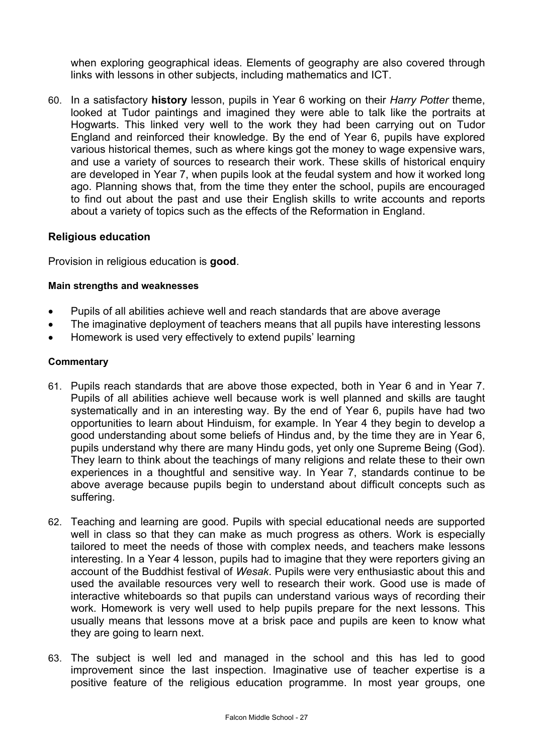when exploring geographical ideas. Elements of geography are also covered through links with lessons in other subjects, including mathematics and ICT.

60. In a satisfactory **history** lesson, pupils in Year 6 working on their *Harry Potter* theme, looked at Tudor paintings and imagined they were able to talk like the portraits at Hogwarts. This linked very well to the work they had been carrying out on Tudor England and reinforced their knowledge. By the end of Year 6, pupils have explored various historical themes, such as where kings got the money to wage expensive wars, and use a variety of sources to research their work. These skills of historical enquiry are developed in Year 7, when pupils look at the feudal system and how it worked long ago. Planning shows that, from the time they enter the school, pupils are encouraged to find out about the past and use their English skills to write accounts and reports about a variety of topics such as the effects of the Reformation in England.

## **Religious education**

Provision in religious education is **good**.

### **Main strengths and weaknesses**

- Pupils of all abilities achieve well and reach standards that are above average
- The imaginative deployment of teachers means that all pupils have interesting lessons
- Homework is used very effectively to extend pupils' learning

- 61. Pupils reach standards that are above those expected, both in Year 6 and in Year 7. Pupils of all abilities achieve well because work is well planned and skills are taught systematically and in an interesting way. By the end of Year 6, pupils have had two opportunities to learn about Hinduism, for example. In Year 4 they begin to develop a good understanding about some beliefs of Hindus and, by the time they are in Year 6, pupils understand why there are many Hindu gods, yet only one Supreme Being (God). They learn to think about the teachings of many religions and relate these to their own experiences in a thoughtful and sensitive way. In Year 7, standards continue to be above average because pupils begin to understand about difficult concepts such as suffering.
- 62. Teaching and learning are good. Pupils with special educational needs are supported well in class so that they can make as much progress as others. Work is especially tailored to meet the needs of those with complex needs, and teachers make lessons interesting. In a Year 4 lesson, pupils had to imagine that they were reporters giving an account of the Buddhist festival of *Wesak*. Pupils were very enthusiastic about this and used the available resources very well to research their work. Good use is made of interactive whiteboards so that pupils can understand various ways of recording their work. Homework is very well used to help pupils prepare for the next lessons. This usually means that lessons move at a brisk pace and pupils are keen to know what they are going to learn next.
- 63. The subject is well led and managed in the school and this has led to good improvement since the last inspection. Imaginative use of teacher expertise is a positive feature of the religious education programme. In most year groups, one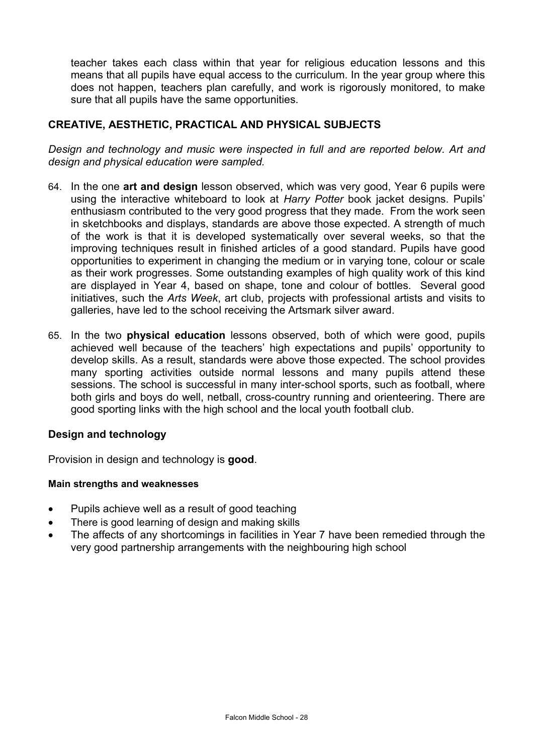teacher takes each class within that year for religious education lessons and this means that all pupils have equal access to the curriculum. In the year group where this does not happen, teachers plan carefully, and work is rigorously monitored, to make sure that all pupils have the same opportunities.

## **CREATIVE, AESTHETIC, PRACTICAL AND PHYSICAL SUBJECTS**

*Design and technology and music were inspected in full and are reported below. Art and design and physical education were sampled.*

- 64. In the one **art and design** lesson observed, which was very good, Year 6 pupils were using the interactive whiteboard to look at *Harry Potter* book jacket designs. Pupils' enthusiasm contributed to the very good progress that they made. From the work seen in sketchbooks and displays, standards are above those expected. A strength of much of the work is that it is developed systematically over several weeks, so that the improving techniques result in finished articles of a good standard. Pupils have good opportunities to experiment in changing the medium or in varying tone, colour or scale as their work progresses. Some outstanding examples of high quality work of this kind are displayed in Year 4, based on shape, tone and colour of bottles. Several good initiatives, such the *Arts Week*, art club, projects with professional artists and visits to galleries, have led to the school receiving the Artsmark silver award.
- 65. In the two **physical education** lessons observed, both of which were good, pupils achieved well because of the teachers' high expectations and pupils' opportunity to develop skills. As a result, standards were above those expected. The school provides many sporting activities outside normal lessons and many pupils attend these sessions. The school is successful in many inter-school sports, such as football, where both girls and boys do well, netball, cross-country running and orienteering. There are good sporting links with the high school and the local youth football club.

## **Design and technology**

Provision in design and technology is **good**.

#### **Main strengths and weaknesses**

- Pupils achieve well as a result of good teaching
- There is good learning of design and making skills
- The affects of any shortcomings in facilities in Year 7 have been remedied through the very good partnership arrangements with the neighbouring high school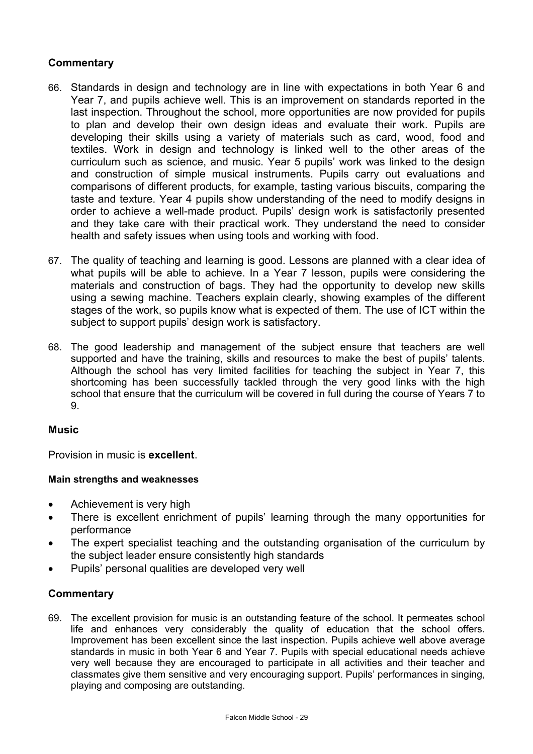## **Commentary**

- 66. Standards in design and technology are in line with expectations in both Year 6 and Year 7, and pupils achieve well. This is an improvement on standards reported in the last inspection. Throughout the school, more opportunities are now provided for pupils to plan and develop their own design ideas and evaluate their work. Pupils are developing their skills using a variety of materials such as card, wood, food and textiles. Work in design and technology is linked well to the other areas of the curriculum such as science, and music. Year 5 pupils' work was linked to the design and construction of simple musical instruments. Pupils carry out evaluations and comparisons of different products, for example, tasting various biscuits, comparing the taste and texture. Year 4 pupils show understanding of the need to modify designs in order to achieve a well-made product. Pupils' design work is satisfactorily presented and they take care with their practical work. They understand the need to consider health and safety issues when using tools and working with food.
- 67. The quality of teaching and learning is good. Lessons are planned with a clear idea of what pupils will be able to achieve. In a Year 7 lesson, pupils were considering the materials and construction of bags. They had the opportunity to develop new skills using a sewing machine. Teachers explain clearly, showing examples of the different stages of the work, so pupils know what is expected of them. The use of ICT within the subject to support pupils' design work is satisfactory.
- 68. The good leadership and management of the subject ensure that teachers are well supported and have the training, skills and resources to make the best of pupils' talents. Although the school has very limited facilities for teaching the subject in Year 7, this shortcoming has been successfully tackled through the very good links with the high school that ensure that the curriculum will be covered in full during the course of Years 7 to 9.

#### **Music**

Provision in music is **excellent**.

#### **Main strengths and weaknesses**

- Achievement is very high
- There is excellent enrichment of pupils' learning through the many opportunities for performance
- The expert specialist teaching and the outstanding organisation of the curriculum by the subject leader ensure consistently high standards
- Pupils' personal qualities are developed very well

## **Commentary**

69. The excellent provision for music is an outstanding feature of the school. It permeates school life and enhances very considerably the quality of education that the school offers. Improvement has been excellent since the last inspection. Pupils achieve well above average standards in music in both Year 6 and Year 7. Pupils with special educational needs achieve very well because they are encouraged to participate in all activities and their teacher and classmates give them sensitive and very encouraging support. Pupils' performances in singing, playing and composing are outstanding.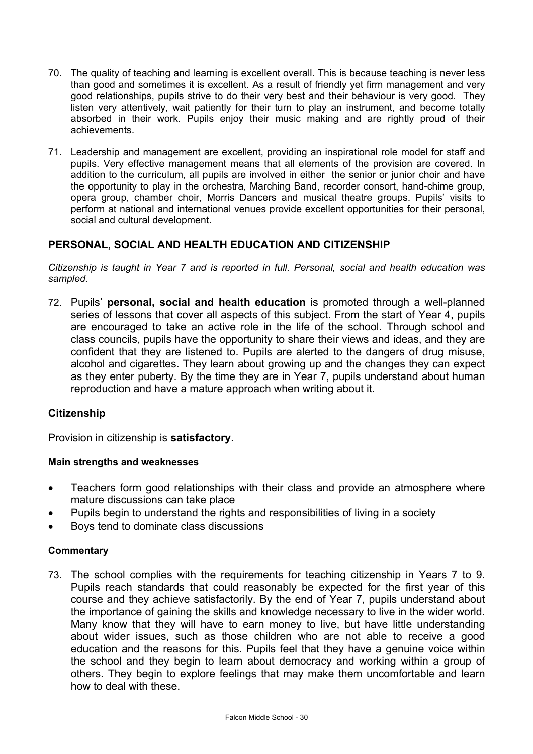- 70. The quality of teaching and learning is excellent overall. This is because teaching is never less than good and sometimes it is excellent. As a result of friendly yet firm management and very good relationships, pupils strive to do their very best and their behaviour is very good. They listen very attentively, wait patiently for their turn to play an instrument, and become totally absorbed in their work. Pupils enjoy their music making and are rightly proud of their achievements.
- 71. Leadership and management are excellent, providing an inspirational role model for staff and pupils. Very effective management means that all elements of the provision are covered. In addition to the curriculum, all pupils are involved in either the senior or junior choir and have the opportunity to play in the orchestra, Marching Band, recorder consort, hand-chime group, opera group, chamber choir, Morris Dancers and musical theatre groups. Pupils' visits to perform at national and international venues provide excellent opportunities for their personal, social and cultural development.

## **PERSONAL, SOCIAL AND HEALTH EDUCATION AND CITIZENSHIP**

*Citizenship is taught in Year 7 and is reported in full. Personal, social and health education was sampled.* 

72. Pupils' **personal, social and health education** is promoted through a well-planned series of lessons that cover all aspects of this subject. From the start of Year 4, pupils are encouraged to take an active role in the life of the school. Through school and class councils, pupils have the opportunity to share their views and ideas, and they are confident that they are listened to. Pupils are alerted to the dangers of drug misuse, alcohol and cigarettes. They learn about growing up and the changes they can expect as they enter puberty. By the time they are in Year 7, pupils understand about human reproduction and have a mature approach when writing about it.

## **Citizenship**

Provision in citizenship is **satisfactory**.

#### **Main strengths and weaknesses**

- Teachers form good relationships with their class and provide an atmosphere where mature discussions can take place
- Pupils begin to understand the rights and responsibilities of living in a society
- Boys tend to dominate class discussions

## **Commentary**

73. The school complies with the requirements for teaching citizenship in Years 7 to 9. Pupils reach standards that could reasonably be expected for the first year of this course and they achieve satisfactorily. By the end of Year 7, pupils understand about the importance of gaining the skills and knowledge necessary to live in the wider world. Many know that they will have to earn money to live, but have little understanding about wider issues, such as those children who are not able to receive a good education and the reasons for this. Pupils feel that they have a genuine voice within the school and they begin to learn about democracy and working within a group of others. They begin to explore feelings that may make them uncomfortable and learn how to deal with these.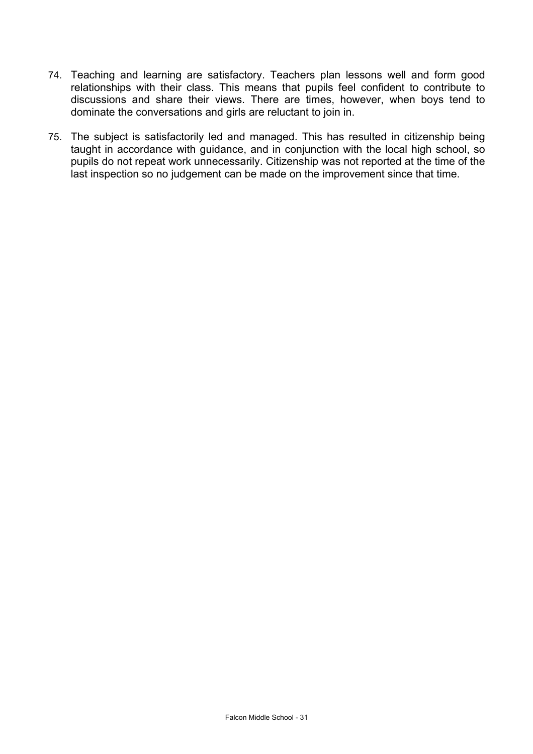- 74. Teaching and learning are satisfactory. Teachers plan lessons well and form good relationships with their class. This means that pupils feel confident to contribute to discussions and share their views. There are times, however, when boys tend to dominate the conversations and girls are reluctant to join in.
- 75. The subject is satisfactorily led and managed. This has resulted in citizenship being taught in accordance with guidance, and in conjunction with the local high school, so pupils do not repeat work unnecessarily. Citizenship was not reported at the time of the last inspection so no judgement can be made on the improvement since that time.